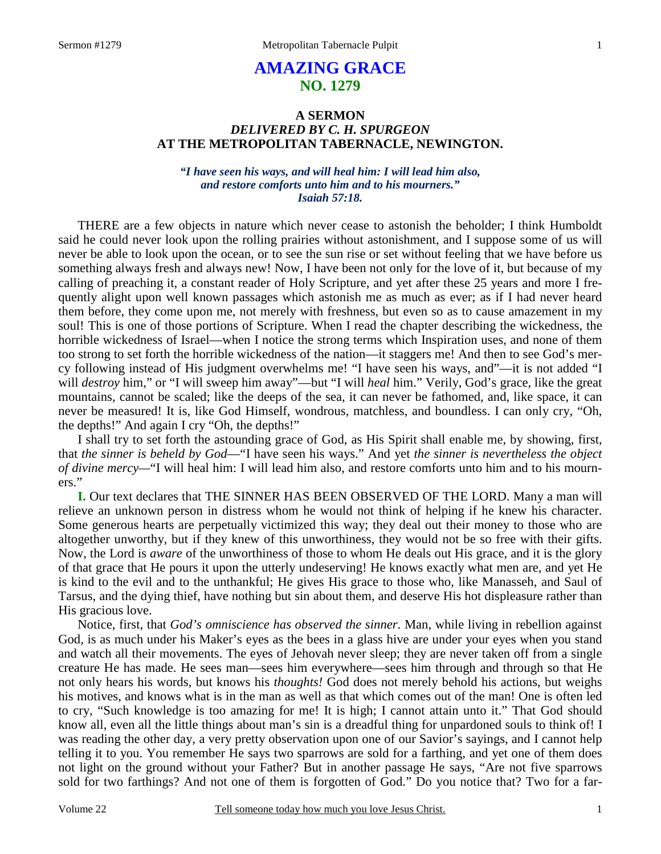# **AMAZING GRACE NO. 1279**

## **A SERMON**  *DELIVERED BY C. H. SPURGEON*  **AT THE METROPOLITAN TABERNACLE, NEWINGTON.**

*"I have seen his ways, and will heal him: I will lead him also, and restore comforts unto him and to his mourners." Isaiah 57:18.* 

THERE are a few objects in nature which never cease to astonish the beholder; I think Humboldt said he could never look upon the rolling prairies without astonishment, and I suppose some of us will never be able to look upon the ocean, or to see the sun rise or set without feeling that we have before us something always fresh and always new! Now, I have been not only for the love of it, but because of my calling of preaching it, a constant reader of Holy Scripture, and yet after these 25 years and more I frequently alight upon well known passages which astonish me as much as ever; as if I had never heard them before, they come upon me, not merely with freshness, but even so as to cause amazement in my soul! This is one of those portions of Scripture. When I read the chapter describing the wickedness, the horrible wickedness of Israel—when I notice the strong terms which Inspiration uses, and none of them too strong to set forth the horrible wickedness of the nation—it staggers me! And then to see God's mercy following instead of His judgment overwhelms me! "I have seen his ways, and"—it is not added "I will *destroy* him," or "I will sweep him away"—but "I will *heal* him." Verily, God's grace, like the great mountains, cannot be scaled; like the deeps of the sea, it can never be fathomed, and, like space, it can never be measured! It is, like God Himself, wondrous, matchless, and boundless. I can only cry, "Oh, the depths!" And again I cry "Oh, the depths!"

I shall try to set forth the astounding grace of God, as His Spirit shall enable me, by showing, first, that *the sinner is beheld by God*—"I have seen his ways." And yet *the sinner is nevertheless the object of divine mercy—*"I will heal him: I will lead him also, and restore comforts unto him and to his mourners."

**I.** Our text declares that THE SINNER HAS BEEN OBSERVED OF THE LORD. Many a man will relieve an unknown person in distress whom he would not think of helping if he knew his character. Some generous hearts are perpetually victimized this way; they deal out their money to those who are altogether unworthy, but if they knew of this unworthiness, they would not be so free with their gifts. Now, the Lord is *aware* of the unworthiness of those to whom He deals out His grace, and it is the glory of that grace that He pours it upon the utterly undeserving! He knows exactly what men are, and yet He is kind to the evil and to the unthankful; He gives His grace to those who, like Manasseh, and Saul of Tarsus, and the dying thief, have nothing but sin about them, and deserve His hot displeasure rather than His gracious love.

Notice, first, that *God's omniscience has observed the sinner*. Man, while living in rebellion against God, is as much under his Maker's eyes as the bees in a glass hive are under your eyes when you stand and watch all their movements. The eyes of Jehovah never sleep; they are never taken off from a single creature He has made. He sees man—sees him everywhere—sees him through and through so that He not only hears his words, but knows his *thoughts!* God does not merely behold his actions, but weighs his motives, and knows what is in the man as well as that which comes out of the man! One is often led to cry, "Such knowledge is too amazing for me! It is high; I cannot attain unto it." That God should know all, even all the little things about man's sin is a dreadful thing for unpardoned souls to think of! I was reading the other day, a very pretty observation upon one of our Savior's sayings, and I cannot help telling it to you. You remember He says two sparrows are sold for a farthing, and yet one of them does not light on the ground without your Father? But in another passage He says, "Are not five sparrows sold for two farthings? And not one of them is forgotten of God." Do you notice that? Two for a far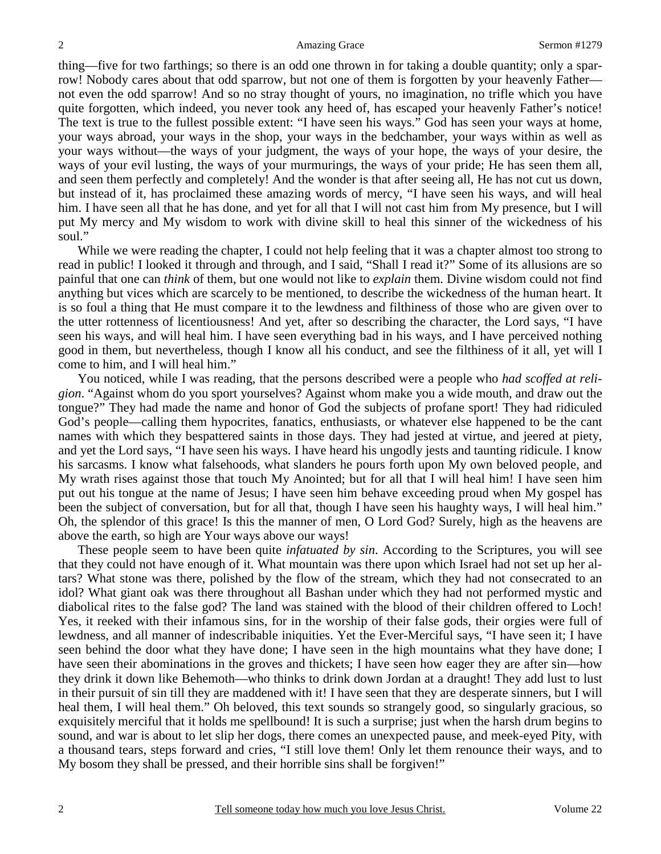thing—five for two farthings; so there is an odd one thrown in for taking a double quantity; only a sparrow! Nobody cares about that odd sparrow, but not one of them is forgotten by your heavenly Father not even the odd sparrow! And so no stray thought of yours, no imagination, no trifle which you have quite forgotten, which indeed, you never took any heed of, has escaped your heavenly Father's notice! The text is true to the fullest possible extent: "I have seen his ways." God has seen your ways at home, your ways abroad, your ways in the shop, your ways in the bedchamber, your ways within as well as your ways without—the ways of your judgment, the ways of your hope, the ways of your desire, the ways of your evil lusting, the ways of your murmurings, the ways of your pride; He has seen them all, and seen them perfectly and completely! And the wonder is that after seeing all, He has not cut us down, but instead of it, has proclaimed these amazing words of mercy, "I have seen his ways, and will heal him. I have seen all that he has done, and yet for all that I will not cast him from My presence, but I will put My mercy and My wisdom to work with divine skill to heal this sinner of the wickedness of his soul."

While we were reading the chapter, I could not help feeling that it was a chapter almost too strong to read in public! I looked it through and through, and I said, "Shall I read it?" Some of its allusions are so painful that one can *think* of them, but one would not like to *explain* them. Divine wisdom could not find anything but vices which are scarcely to be mentioned, to describe the wickedness of the human heart. It is so foul a thing that He must compare it to the lewdness and filthiness of those who are given over to the utter rottenness of licentiousness! And yet, after so describing the character, the Lord says, "I have seen his ways, and will heal him. I have seen everything bad in his ways, and I have perceived nothing good in them, but nevertheless, though I know all his conduct, and see the filthiness of it all, yet will I come to him, and I will heal him."

You noticed, while I was reading, that the persons described were a people who *had scoffed at religion*. "Against whom do you sport yourselves? Against whom make you a wide mouth, and draw out the tongue?" They had made the name and honor of God the subjects of profane sport! They had ridiculed God's people—calling them hypocrites, fanatics, enthusiasts, or whatever else happened to be the cant names with which they bespattered saints in those days. They had jested at virtue, and jeered at piety, and yet the Lord says, "I have seen his ways. I have heard his ungodly jests and taunting ridicule. I know his sarcasms. I know what falsehoods, what slanders he pours forth upon My own beloved people, and My wrath rises against those that touch My Anointed; but for all that I will heal him! I have seen him put out his tongue at the name of Jesus; I have seen him behave exceeding proud when My gospel has been the subject of conversation, but for all that, though I have seen his haughty ways, I will heal him." Oh, the splendor of this grace! Is this the manner of men, O Lord God? Surely, high as the heavens are above the earth, so high are Your ways above our ways!

These people seem to have been quite *infatuated by sin*. According to the Scriptures, you will see that they could not have enough of it. What mountain was there upon which Israel had not set up her altars? What stone was there, polished by the flow of the stream, which they had not consecrated to an idol? What giant oak was there throughout all Bashan under which they had not performed mystic and diabolical rites to the false god? The land was stained with the blood of their children offered to Loch! Yes, it reeked with their infamous sins, for in the worship of their false gods, their orgies were full of lewdness, and all manner of indescribable iniquities. Yet the Ever-Merciful says, "I have seen it; I have seen behind the door what they have done; I have seen in the high mountains what they have done; I have seen their abominations in the groves and thickets; I have seen how eager they are after sin—how they drink it down like Behemoth—who thinks to drink down Jordan at a draught! They add lust to lust in their pursuit of sin till they are maddened with it! I have seen that they are desperate sinners, but I will heal them, I will heal them." Oh beloved, this text sounds so strangely good, so singularly gracious, so exquisitely merciful that it holds me spellbound! It is such a surprise; just when the harsh drum begins to sound, and war is about to let slip her dogs, there comes an unexpected pause, and meek-eyed Pity, with a thousand tears, steps forward and cries, "I still love them! Only let them renounce their ways, and to My bosom they shall be pressed, and their horrible sins shall be forgiven!"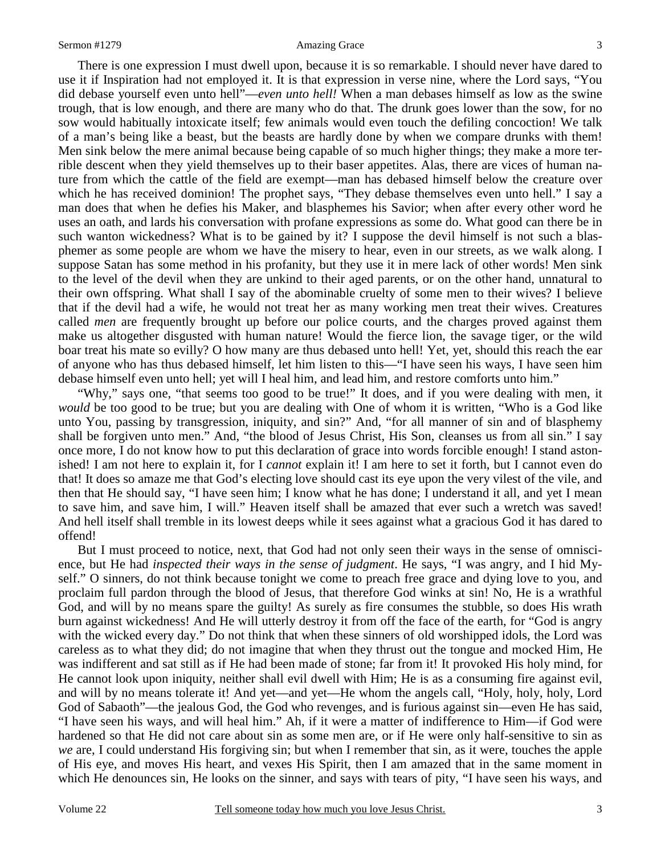There is one expression I must dwell upon, because it is so remarkable. I should never have dared to use it if Inspiration had not employed it. It is that expression in verse nine, where the Lord says, "You did debase yourself even unto hell"—*even unto hell!* When a man debases himself as low as the swine trough, that is low enough, and there are many who do that. The drunk goes lower than the sow, for no sow would habitually intoxicate itself; few animals would even touch the defiling concoction! We talk of a man's being like a beast, but the beasts are hardly done by when we compare drunks with them! Men sink below the mere animal because being capable of so much higher things; they make a more terrible descent when they yield themselves up to their baser appetites. Alas, there are vices of human nature from which the cattle of the field are exempt—man has debased himself below the creature over which he has received dominion! The prophet says, "They debase themselves even unto hell." I say a man does that when he defies his Maker, and blasphemes his Savior; when after every other word he uses an oath, and lards his conversation with profane expressions as some do. What good can there be in such wanton wickedness? What is to be gained by it? I suppose the devil himself is not such a blasphemer as some people are whom we have the misery to hear, even in our streets, as we walk along. I suppose Satan has some method in his profanity, but they use it in mere lack of other words! Men sink to the level of the devil when they are unkind to their aged parents, or on the other hand, unnatural to their own offspring. What shall I say of the abominable cruelty of some men to their wives? I believe that if the devil had a wife, he would not treat her as many working men treat their wives. Creatures called *men* are frequently brought up before our police courts, and the charges proved against them make us altogether disgusted with human nature! Would the fierce lion, the savage tiger, or the wild boar treat his mate so evilly? O how many are thus debased unto hell! Yet, yet, should this reach the ear of anyone who has thus debased himself, let him listen to this—"I have seen his ways, I have seen him debase himself even unto hell; yet will I heal him, and lead him, and restore comforts unto him."

"Why," says one, "that seems too good to be true!" It does, and if you were dealing with men, it *would* be too good to be true; but you are dealing with One of whom it is written, "Who is a God like unto You, passing by transgression, iniquity, and sin?" And, "for all manner of sin and of blasphemy shall be forgiven unto men." And, "the blood of Jesus Christ, His Son, cleanses us from all sin." I say once more, I do not know how to put this declaration of grace into words forcible enough! I stand astonished! I am not here to explain it, for I *cannot* explain it! I am here to set it forth, but I cannot even do that! It does so amaze me that God's electing love should cast its eye upon the very vilest of the vile, and then that He should say, "I have seen him; I know what he has done; I understand it all, and yet I mean to save him, and save him, I will." Heaven itself shall be amazed that ever such a wretch was saved! And hell itself shall tremble in its lowest deeps while it sees against what a gracious God it has dared to offend!

But I must proceed to notice, next, that God had not only seen their ways in the sense of omniscience, but He had *inspected their ways in the sense of judgment*. He says, "I was angry, and I hid Myself." O sinners, do not think because tonight we come to preach free grace and dying love to you, and proclaim full pardon through the blood of Jesus, that therefore God winks at sin! No, He is a wrathful God, and will by no means spare the guilty! As surely as fire consumes the stubble, so does His wrath burn against wickedness! And He will utterly destroy it from off the face of the earth, for "God is angry with the wicked every day." Do not think that when these sinners of old worshipped idols, the Lord was careless as to what they did; do not imagine that when they thrust out the tongue and mocked Him, He was indifferent and sat still as if He had been made of stone; far from it! It provoked His holy mind, for He cannot look upon iniquity, neither shall evil dwell with Him; He is as a consuming fire against evil, and will by no means tolerate it! And yet—and yet—He whom the angels call, "Holy, holy, holy, Lord God of Sabaoth"—the jealous God, the God who revenges, and is furious against sin—even He has said, "I have seen his ways, and will heal him." Ah, if it were a matter of indifference to Him—if God were hardened so that He did not care about sin as some men are, or if He were only half-sensitive to sin as *we* are, I could understand His forgiving sin; but when I remember that sin, as it were, touches the apple of His eye, and moves His heart, and vexes His Spirit, then I am amazed that in the same moment in which He denounces sin, He looks on the sinner, and says with tears of pity, "I have seen his ways, and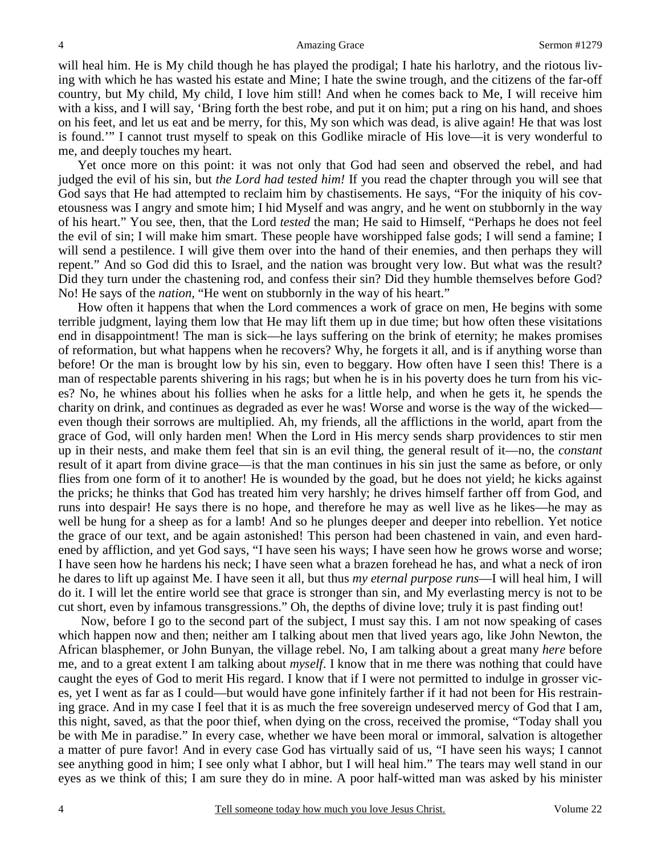will heal him. He is My child though he has played the prodigal; I hate his harlotry, and the riotous living with which he has wasted his estate and Mine; I hate the swine trough, and the citizens of the far-off country, but My child, My child, I love him still! And when he comes back to Me, I will receive him with a kiss, and I will say, 'Bring forth the best robe, and put it on him; put a ring on his hand, and shoes on his feet, and let us eat and be merry, for this, My son which was dead, is alive again! He that was lost is found.'" I cannot trust myself to speak on this Godlike miracle of His love—it is very wonderful to me, and deeply touches my heart.

Yet once more on this point: it was not only that God had seen and observed the rebel, and had judged the evil of his sin, but *the Lord had tested him!* If you read the chapter through you will see that God says that He had attempted to reclaim him by chastisements. He says, "For the iniquity of his covetousness was I angry and smote him; I hid Myself and was angry, and he went on stubbornly in the way of his heart." You see, then, that the Lord *tested* the man; He said to Himself, "Perhaps he does not feel the evil of sin; I will make him smart. These people have worshipped false gods; I will send a famine; I will send a pestilence. I will give them over into the hand of their enemies, and then perhaps they will repent." And so God did this to Israel, and the nation was brought very low. But what was the result? Did they turn under the chastening rod, and confess their sin? Did they humble themselves before God? No! He says of the *nation,* "He went on stubbornly in the way of his heart."

How often it happens that when the Lord commences a work of grace on men, He begins with some terrible judgment, laying them low that He may lift them up in due time; but how often these visitations end in disappointment! The man is sick—he lays suffering on the brink of eternity; he makes promises of reformation, but what happens when he recovers? Why, he forgets it all, and is if anything worse than before! Or the man is brought low by his sin, even to beggary. How often have I seen this! There is a man of respectable parents shivering in his rags; but when he is in his poverty does he turn from his vices? No, he whines about his follies when he asks for a little help, and when he gets it, he spends the charity on drink, and continues as degraded as ever he was! Worse and worse is the way of the wicked even though their sorrows are multiplied. Ah, my friends, all the afflictions in the world, apart from the grace of God, will only harden men! When the Lord in His mercy sends sharp providences to stir men up in their nests, and make them feel that sin is an evil thing, the general result of it—no, the *constant* result of it apart from divine grace—is that the man continues in his sin just the same as before, or only flies from one form of it to another! He is wounded by the goad, but he does not yield; he kicks against the pricks; he thinks that God has treated him very harshly; he drives himself farther off from God, and runs into despair! He says there is no hope, and therefore he may as well live as he likes—he may as well be hung for a sheep as for a lamb! And so he plunges deeper and deeper into rebellion. Yet notice the grace of our text, and be again astonished! This person had been chastened in vain, and even hardened by affliction, and yet God says, "I have seen his ways; I have seen how he grows worse and worse; I have seen how he hardens his neck; I have seen what a brazen forehead he has, and what a neck of iron he dares to lift up against Me. I have seen it all, but thus *my eternal purpose runs*—I will heal him, I will do it. I will let the entire world see that grace is stronger than sin, and My everlasting mercy is not to be cut short, even by infamous transgressions." Oh, the depths of divine love; truly it is past finding out!

 Now, before I go to the second part of the subject, I must say this. I am not now speaking of cases which happen now and then; neither am I talking about men that lived years ago, like John Newton, the African blasphemer, or John Bunyan, the village rebel. No, I am talking about a great many *here* before me, and to a great extent I am talking about *myself*. I know that in me there was nothing that could have caught the eyes of God to merit His regard. I know that if I were not permitted to indulge in grosser vices, yet I went as far as I could—but would have gone infinitely farther if it had not been for His restraining grace. And in my case I feel that it is as much the free sovereign undeserved mercy of God that I am, this night, saved, as that the poor thief, when dying on the cross, received the promise, "Today shall you be with Me in paradise." In every case, whether we have been moral or immoral, salvation is altogether a matter of pure favor! And in every case God has virtually said of us, "I have seen his ways; I cannot see anything good in him; I see only what I abhor, but I will heal him." The tears may well stand in our eyes as we think of this; I am sure they do in mine. A poor half-witted man was asked by his minister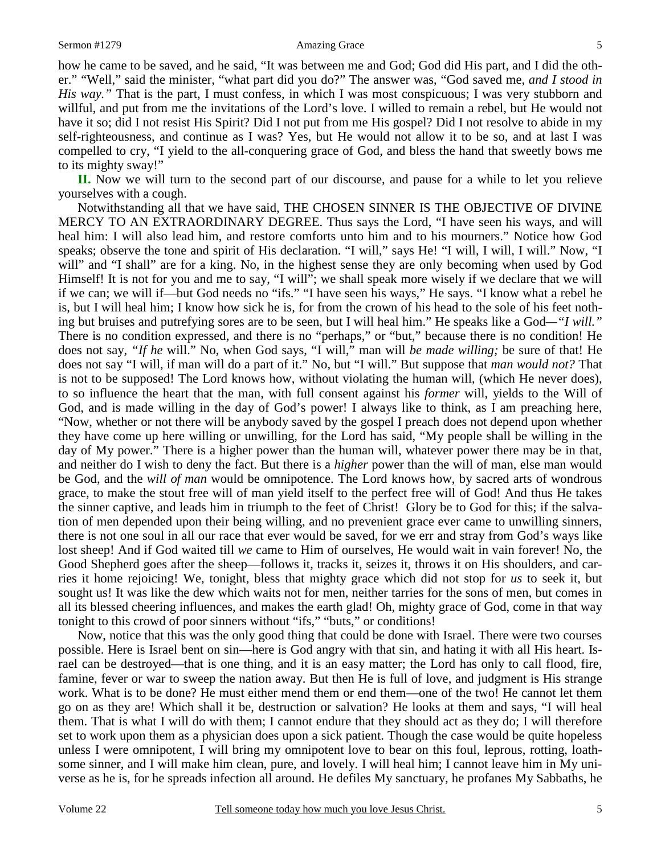how he came to be saved, and he said, "It was between me and God; God did His part, and I did the other." "Well," said the minister, "what part did you do?" The answer was, "God saved me, *and I stood in His way.*" That is the part, I must confess, in which I was most conspicuous; I was very stubborn and willful, and put from me the invitations of the Lord's love. I willed to remain a rebel, but He would not have it so; did I not resist His Spirit? Did I not put from me His gospel? Did I not resolve to abide in my self-righteousness, and continue as I was? Yes, but He would not allow it to be so, and at last I was compelled to cry, "I yield to the all-conquering grace of God, and bless the hand that sweetly bows me to its mighty sway!"

**II.** Now we will turn to the second part of our discourse, and pause for a while to let you relieve yourselves with a cough.

Notwithstanding all that we have said, THE CHOSEN SINNER IS THE OBJECTIVE OF DIVINE MERCY TO AN EXTRAORDINARY DEGREE. Thus says the Lord, "I have seen his ways, and will heal him: I will also lead him, and restore comforts unto him and to his mourners." Notice how God speaks; observe the tone and spirit of His declaration. "I will," says He! "I will, I will, I will." Now, "I will" and "I shall" are for a king. No, in the highest sense they are only becoming when used by God Himself! It is not for you and me to say, "I will"; we shall speak more wisely if we declare that we will if we can; we will if—but God needs no "ifs." "I have seen his ways," He says. "I know what a rebel he is, but I will heal him; I know how sick he is, for from the crown of his head to the sole of his feet nothing but bruises and putrefying sores are to be seen, but I will heal him." He speaks like a God*—"I will."* There is no condition expressed, and there is no "perhaps," or "but," because there is no condition! He does not say, *"If he* will." No, when God says, "I will," man will *be made willing;* be sure of that! He does not say "I will, if man will do a part of it." No, but "I will." But suppose that *man would not?* That is not to be supposed! The Lord knows how, without violating the human will, (which He never does), to so influence the heart that the man, with full consent against his *former* will, yields to the Will of God, and is made willing in the day of God's power! I always like to think, as I am preaching here, "Now, whether or not there will be anybody saved by the gospel I preach does not depend upon whether they have come up here willing or unwilling, for the Lord has said, "My people shall be willing in the day of My power." There is a higher power than the human will, whatever power there may be in that*,*  and neither do I wish to deny the fact. But there is a *higher* power than the will of man, else man would be God, and the *will of man* would be omnipotence. The Lord knows how, by sacred arts of wondrous grace, to make the stout free will of man yield itself to the perfect free will of God! And thus He takes the sinner captive, and leads him in triumph to the feet of Christ! Glory be to God for this; if the salvation of men depended upon their being willing, and no prevenient grace ever came to unwilling sinners, there is not one soul in all our race that ever would be saved, for we err and stray from God's ways like lost sheep! And if God waited till *we* came to Him of ourselves, He would wait in vain forever! No, the Good Shepherd goes after the sheep—follows it, tracks it, seizes it, throws it on His shoulders, and carries it home rejoicing! We, tonight, bless that mighty grace which did not stop for *us* to seek it, but sought us! It was like the dew which waits not for men, neither tarries for the sons of men, but comes in all its blessed cheering influences, and makes the earth glad! Oh, mighty grace of God, come in that way tonight to this crowd of poor sinners without "ifs," "buts," or conditions!

Now, notice that this was the only good thing that could be done with Israel. There were two courses possible. Here is Israel bent on sin—here is God angry with that sin, and hating it with all His heart. Israel can be destroyed—that is one thing, and it is an easy matter; the Lord has only to call flood, fire, famine, fever or war to sweep the nation away. But then He is full of love, and judgment is His strange work. What is to be done? He must either mend them or end them—one of the two! He cannot let them go on as they are! Which shall it be, destruction or salvation? He looks at them and says, "I will heal them. That is what I will do with them; I cannot endure that they should act as they do; I will therefore set to work upon them as a physician does upon a sick patient. Though the case would be quite hopeless unless I were omnipotent, I will bring my omnipotent love to bear on this foul, leprous, rotting, loathsome sinner, and I will make him clean, pure, and lovely. I will heal him; I cannot leave him in My universe as he is, for he spreads infection all around. He defiles My sanctuary, he profanes My Sabbaths, he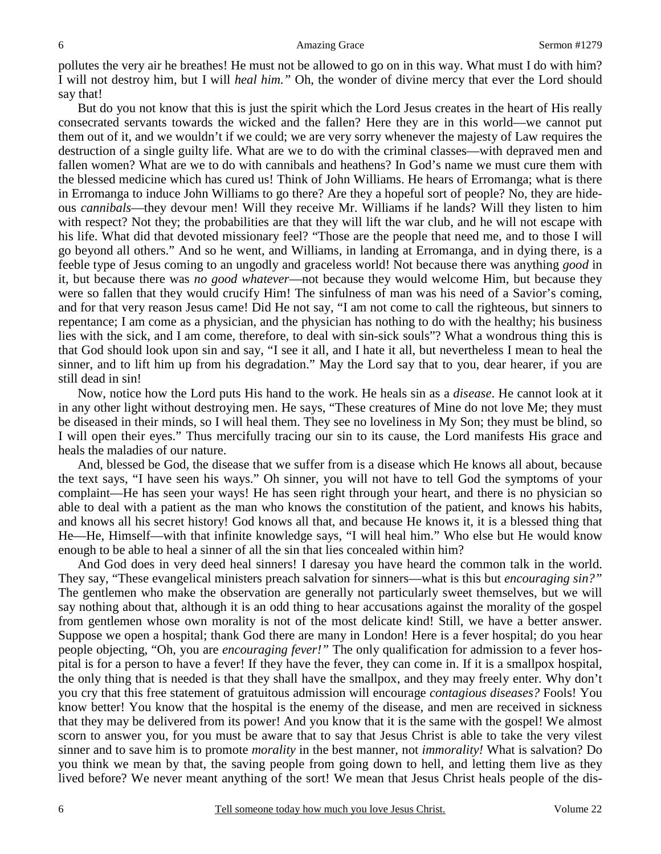pollutes the very air he breathes! He must not be allowed to go on in this way. What must I do with him? I will not destroy him, but I will *heal him."* Oh, the wonder of divine mercy that ever the Lord should say that!

But do you not know that this is just the spirit which the Lord Jesus creates in the heart of His really consecrated servants towards the wicked and the fallen? Here they are in this world—we cannot put them out of it, and we wouldn't if we could; we are very sorry whenever the majesty of Law requires the destruction of a single guilty life. What are we to do with the criminal classes—with depraved men and fallen women? What are we to do with cannibals and heathens? In God's name we must cure them with the blessed medicine which has cured us! Think of John Williams. He hears of Erromanga; what is there in Erromanga to induce John Williams to go there? Are they a hopeful sort of people? No, they are hideous *cannibals*—they devour men! Will they receive Mr. Williams if he lands? Will they listen to him with respect? Not they; the probabilities are that they will lift the war club, and he will not escape with his life. What did that devoted missionary feel? "Those are the people that need me, and to those I will go beyond all others." And so he went, and Williams, in landing at Erromanga, and in dying there, is a feeble type of Jesus coming to an ungodly and graceless world! Not because there was anything *good* in it, but because there was *no good whatever*—not because they would welcome Him, but because they were so fallen that they would crucify Him! The sinfulness of man was his need of a Savior's coming, and for that very reason Jesus came! Did He not say, "I am not come to call the righteous, but sinners to repentance; I am come as a physician, and the physician has nothing to do with the healthy; his business lies with the sick, and I am come, therefore, to deal with sin-sick souls"? What a wondrous thing this is that God should look upon sin and say, "I see it all, and I hate it all, but nevertheless I mean to heal the sinner, and to lift him up from his degradation." May the Lord say that to you, dear hearer, if you are still dead in sin!

Now, notice how the Lord puts His hand to the work. He heals sin as a *disease*. He cannot look at it in any other light without destroying men. He says, "These creatures of Mine do not love Me; they must be diseased in their minds, so I will heal them. They see no loveliness in My Son; they must be blind, so I will open their eyes." Thus mercifully tracing our sin to its cause, the Lord manifests His grace and heals the maladies of our nature.

And, blessed be God, the disease that we suffer from is a disease which He knows all about, because the text says, "I have seen his ways." Oh sinner, you will not have to tell God the symptoms of your complaint—He has seen your ways! He has seen right through your heart, and there is no physician so able to deal with a patient as the man who knows the constitution of the patient, and knows his habits, and knows all his secret history! God knows all that, and because He knows it, it is a blessed thing that He—He, Himself—with that infinite knowledge says, "I will heal him." Who else but He would know enough to be able to heal a sinner of all the sin that lies concealed within him?

And God does in very deed heal sinners! I daresay you have heard the common talk in the world. They say, "These evangelical ministers preach salvation for sinners—what is this but *encouraging sin?"* The gentlemen who make the observation are generally not particularly sweet themselves, but we will say nothing about that, although it is an odd thing to hear accusations against the morality of the gospel from gentlemen whose own morality is not of the most delicate kind! Still, we have a better answer. Suppose we open a hospital; thank God there are many in London! Here is a fever hospital; do you hear people objecting, "Oh, you are *encouraging fever!"* The only qualification for admission to a fever hospital is for a person to have a fever! If they have the fever, they can come in. If it is a smallpox hospital, the only thing that is needed is that they shall have the smallpox, and they may freely enter. Why don't you cry that this free statement of gratuitous admission will encourage *contagious diseases?* Fools! You know better! You know that the hospital is the enemy of the disease, and men are received in sickness that they may be delivered from its power! And you know that it is the same with the gospel! We almost scorn to answer you, for you must be aware that to say that Jesus Christ is able to take the very vilest sinner and to save him is to promote *morality* in the best manner, not *immorality!* What is salvation? Do you think we mean by that, the saving people from going down to hell, and letting them live as they lived before? We never meant anything of the sort! We mean that Jesus Christ heals people of the dis-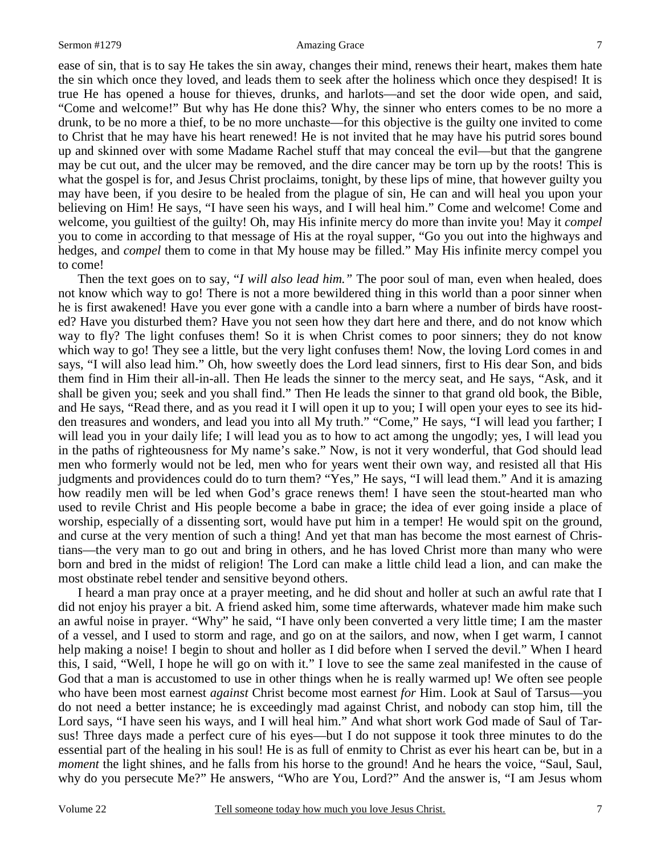### Sermon #1279 Amazing Grace

7

ease of sin, that is to say He takes the sin away, changes their mind, renews their heart, makes them hate the sin which once they loved, and leads them to seek after the holiness which once they despised! It is true He has opened a house for thieves, drunks, and harlots—and set the door wide open, and said, "Come and welcome!" But why has He done this? Why, the sinner who enters comes to be no more a drunk, to be no more a thief, to be no more unchaste—for this objective is the guilty one invited to come to Christ that he may have his heart renewed! He is not invited that he may have his putrid sores bound up and skinned over with some Madame Rachel stuff that may conceal the evil—but that the gangrene may be cut out, and the ulcer may be removed, and the dire cancer may be torn up by the roots! This is what the gospel is for, and Jesus Christ proclaims, tonight, by these lips of mine, that however guilty you may have been, if you desire to be healed from the plague of sin, He can and will heal you upon your believing on Him! He says, "I have seen his ways, and I will heal him." Come and welcome! Come and welcome, you guiltiest of the guilty! Oh, may His infinite mercy do more than invite you! May it *compel* you to come in according to that message of His at the royal supper, "Go you out into the highways and hedges, and *compel* them to come in that My house may be filled." May His infinite mercy compel you to come!

Then the text goes on to say, "*I will also lead him."* The poor soul of man, even when healed, does not know which way to go! There is not a more bewildered thing in this world than a poor sinner when he is first awakened! Have you ever gone with a candle into a barn where a number of birds have roosted? Have you disturbed them? Have you not seen how they dart here and there, and do not know which way to fly? The light confuses them! So it is when Christ comes to poor sinners; they do not know which way to go! They see a little, but the very light confuses them! Now, the loving Lord comes in and says, "I will also lead him." Oh, how sweetly does the Lord lead sinners, first to His dear Son, and bids them find in Him their all-in-all. Then He leads the sinner to the mercy seat, and He says, "Ask, and it shall be given you; seek and you shall find." Then He leads the sinner to that grand old book, the Bible, and He says, "Read there, and as you read it I will open it up to you; I will open your eyes to see its hidden treasures and wonders, and lead you into all My truth." "Come," He says, "I will lead you farther; I will lead you in your daily life; I will lead you as to how to act among the ungodly; yes, I will lead you in the paths of righteousness for My name's sake." Now, is not it very wonderful, that God should lead men who formerly would not be led, men who for years went their own way, and resisted all that His judgments and providences could do to turn them? "Yes," He says, "I will lead them." And it is amazing how readily men will be led when God's grace renews them! I have seen the stout-hearted man who used to revile Christ and His people become a babe in grace; the idea of ever going inside a place of worship, especially of a dissenting sort, would have put him in a temper! He would spit on the ground, and curse at the very mention of such a thing! And yet that man has become the most earnest of Christians—the very man to go out and bring in others, and he has loved Christ more than many who were born and bred in the midst of religion! The Lord can make a little child lead a lion, and can make the most obstinate rebel tender and sensitive beyond others.

I heard a man pray once at a prayer meeting, and he did shout and holler at such an awful rate that I did not enjoy his prayer a bit. A friend asked him, some time afterwards, whatever made him make such an awful noise in prayer. "Why" he said, "I have only been converted a very little time; I am the master of a vessel, and I used to storm and rage, and go on at the sailors, and now, when I get warm, I cannot help making a noise! I begin to shout and holler as I did before when I served the devil." When I heard this, I said, "Well, I hope he will go on with it." I love to see the same zeal manifested in the cause of God that a man is accustomed to use in other things when he is really warmed up! We often see people who have been most earnest *against* Christ become most earnest *for* Him. Look at Saul of Tarsus—you do not need a better instance; he is exceedingly mad against Christ, and nobody can stop him, till the Lord says, "I have seen his ways, and I will heal him." And what short work God made of Saul of Tarsus! Three days made a perfect cure of his eyes—but I do not suppose it took three minutes to do the essential part of the healing in his soul! He is as full of enmity to Christ as ever his heart can be, but in a *moment* the light shines, and he falls from his horse to the ground! And he hears the voice, "Saul, Saul, why do you persecute Me?" He answers, "Who are You, Lord?" And the answer is, "I am Jesus whom